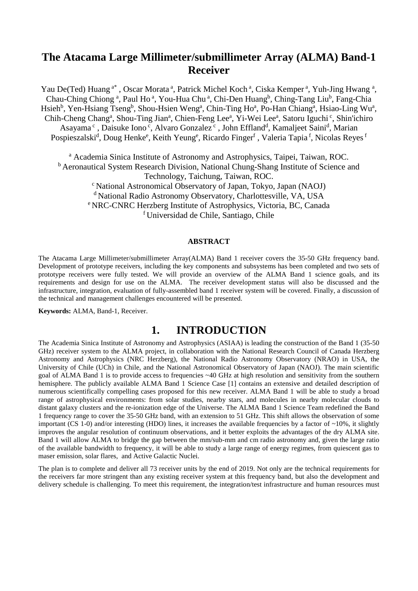# **The Atacama Large Millimeter/submillimeter Array (ALMA) Band-1 Receiver**

Yau De(Ted) Huang<sup>a\*</sup>, Oscar Morata<sup>a</sup>, Patrick Michel Koch<sup>a</sup>, Ciska Kemper<sup>a</sup>, Yuh-Jing Hwang<sup>a</sup>, Chau-Ching Chiong<sup>a</sup>, Paul Ho<sup>a</sup>, You-Hua Chu<sup>a</sup>, Chi-Den Huang<sup>b</sup>, Ching-Tang Liu<sup>b</sup>, Fang-Chia Hsieh<sup>b</sup>, Yen-Hsiang Tseng<sup>b</sup>, Shou-Hsien Weng<sup>a</sup>, Chin-Ting Ho<sup>a</sup>, Po-Han Chiang<sup>a</sup>, Hsiao-Ling Wu<sup>a</sup>, Chih-Cheng Chang<sup>a</sup>, Shou-Ting Jian<sup>a</sup>, Chien-Feng Lee<sup>a</sup>, Yi-Wei Lee<sup>a</sup>, Satoru Iguchi<sup>c</sup>, Shin'ichiro Asayama<sup>c</sup>, Daisuke Iono<sup>c</sup>, Alvaro Gonzalez<sup>c</sup>, John Effland<sup>d</sup>, Kamaljeet Saini<sup>d</sup>, Marian Pospieszalski<sup>d</sup>, Doug Henke<sup>e</sup>, Keith Yeung<sup>e</sup>, Ricardo Finger<sup>f</sup> , Valeria Tapia <sup>f</sup>, Nicolas Reyes <sup>f</sup>

<sup>a</sup> Academia Sinica Institute of Astronomy and Astrophysics, Taipei, Taiwan, ROC. <sup>b</sup> Aeronautical System Research Division, National Chung-Shang Institute of Science and Technology, Taichung, Taiwan, ROC. c National Astronomical Observatory of Japan, Tokyo, Japan (NAOJ) d National Radio Astronomy Observatory, Charlottesville, VA, USA e NRC-CNRC Herzberg Institute of Astrophysics, Victoria, BC, Canada f Universidad de Chile, Santiago, Chile

#### **ABSTRACT**

The Atacama Large Millimeter/submillimeter Array(ALMA) Band 1 receiver covers the 35-50 GHz frequency band. Development of prototype receivers, including the key components and subsystems has been completed and two sets of prototype receivers were fully tested. We will provide an overview of the ALMA Band 1 science goals, and its requirements and design for use on the ALMA. The receiver development status will also be discussed and the infrastructure, integration, evaluation of fully-assembled band 1 receiver system will be covered. Finally, a discussion of the technical and management challenges encountered will be presented.

**Keywords:** ALMA, Band-1, Receiver.

### **1. INTRODUCTION**

The Academia Sinica Institute of Astronomy and Astrophysics (ASIAA) is leading the construction of the Band 1 (35-50 GHz) receiver system to the ALMA project, in collaboration with the National Research Council of Canada Herzberg Astronomy and Astrophysics (NRC Herzberg), the National Radio Astronomy Observatory (NRAO) in USA, the University of Chile (UCh) in Chile, and the National Astronomical Observatory of Japan (NAOJ). The main scientific goal of ALMA Band 1 is to provide access to frequencies ~40 GHz at high resolution and sensitivity from the southern hemisphere. The publicly available ALMA Band 1 Science Case [1] contains an extensive and detailed description of numerous scientifically compelling cases proposed for this new receiver. ALMA Band 1 will be able to study a broad range of astrophysical environments: from solar studies, nearby stars, and molecules in nearby molecular clouds to distant galaxy clusters and the re-ionization edge of the Universe. The ALMA Band 1 Science Team redefined the Band 1 frequency range to cover the 35-50 GHz band, with an extension to 51 GHz. This shift allows the observation of some important (CS 1-0) and/or interesting (HDO) lines, it increases the available frequencies by a factor of  $\sim$ 10%, it slightly improves the angular resolution of continuum observations, and it better exploits the advantages of the dry ALMA site. Band 1 will allow ALMA to bridge the gap between the mm/sub-mm and cm radio astronomy and, given the large ratio of the available bandwidth to frequency, it will be able to study a large range of energy regimes, from quiescent gas to maser emission, solar flares, and Active Galactic Nuclei.

The plan is to complete and deliver all 73 receiver units by the end of 2019. Not only are the technical requirements for the receivers far more stringent than any existing receiver system at this frequency band, but also the development and delivery schedule is challenging. To meet this requirement, the integration/test infrastructure and human resources must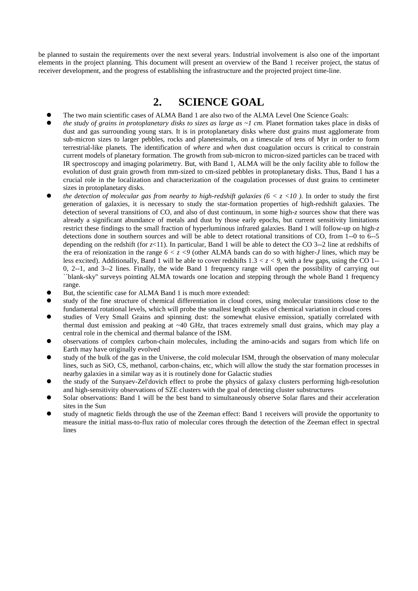be planned to sustain the requirements over the next several years. Industrial involvement is also one of the important elements in the project planning. This document will present an overview of the Band 1 receiver project, the status of receiver development, and the progress of establishing the infrastructure and the projected project time-line.

# **2. SCIENCE GOAL**

- The two main scientific cases of ALMA Band 1 are also two of the ALMA Level One Science Goals:
- *the study of grains in protoplanetary disks to sizes as large as ~1 cm.* Planet formation takes place in disks of dust and gas surrounding young stars. It is in protoplanetary disks where dust grains must agglomerate from sub-micron sizes to larger pebbles, rocks and planetesimals, on a timescale of tens of Myr in order to form terrestrial-like planets. The identification of *where* and *when* dust coagulation occurs is critical to constrain current models of planetary formation. The growth from sub-micron to micron-sized particles can be traced with IR spectroscopy and imaging polarimetry. But, with Band 1, ALMA will be the only facility able to follow the evolution of dust grain growth from mm-sized to cm-sized pebbles in protoplanetary disks. Thus, Band 1 has a crucial role in the localization and characterization of the coagulation processes of dust grains to centimeter sizes in protoplanetary disks.
- *the detection of molecular gas from nearby to high-redshift galaxies (* $6 < z < 10$ *)*. In order to study the first generation of galaxies, it is necessary to study the star-formation properties of high-redshift galaxies. The detection of several transitions of CO, and also of dust continuum, in some high-*z* sources show that there was already a significant abundance of metals and dust by those early epochs, but current sensitivity limitations restrict these findings to the small fraction of hyperluminous infrared galaxies. Band 1 will follow-up on high-*z* detections done in southern sources and will be able to detect rotational transitions of CO, from 1--0 to 6--5 depending on the redshift (for  $z(1)$ ). In particular, Band 1 will be able to detect the CO 3--2 line at redshifts of the era of reionization in the range  $6 < z < 9$  (other ALMA bands can do so with higher-*J* lines, which may be less excited). Additionally, Band 1 will be able to cover redshifts 1.3 *< z < 9,* with a few gaps, using the CO 1-- 0, 2--1, and 3--2 lines. Finally, the wide Band 1 frequency range will open the possibility of carrying out ``blank-sky'' surveys pointing ALMA towards one location and stepping through the whole Band 1 frequency range.
- But, the scientific case for ALMA Band 1 is much more extended:
- study of the fine structure of chemical differentiation in cloud cores, using molecular transitions close to the fundamental rotational levels, which will probe the smallest length scales of chemical variation in cloud cores
- studies of Very Small Grains and spinning dust: the somewhat elusive emission, spatially correlated with thermal dust emission and peaking at ~40 GHz, that traces extremely small dust grains, which may play a central role in the chemical and thermal balance of the ISM.
- observations of complex carbon-chain molecules, including the amino-acids and sugars from which life on Earth may have originally evolved
- study of the bulk of the gas in the Universe, the cold molecular ISM, through the observation of many molecular lines, such as SiO, CS, methanol, carbon-chains, etc, which will allow the study the star formation processes in nearby galaxies in a similar way as it is routinely done for Galactic studies
- the study of the Sunyaev-Zel'dovich effect to probe the physics of galaxy clusters performing high-resolution and high-sensitivity observations of SZE clusters with the goal of detecting cluster substructures
- Solar observations: Band 1 will be the best band to simultaneously observe Solar flares and their acceleration sites in the Sun
- study of magnetic fields through the use of the Zeeman effect: Band 1 receivers will provide the opportunity to measure the initial mass-to-flux ratio of molecular cores through the detection of the Zeeman effect in spectral lines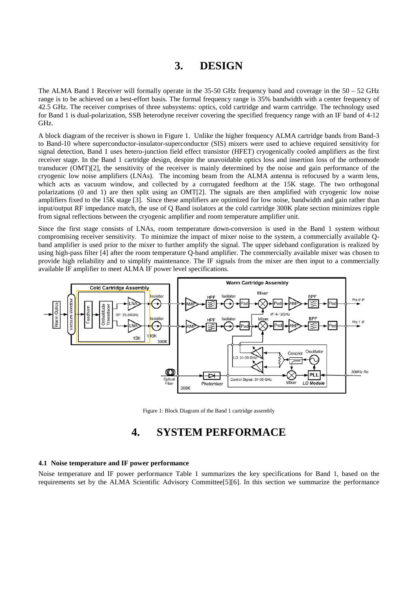# **3. DESIGN**

The ALMA Band 1 Receiver will formally operate in the 35-50 GHz frequency band and coverage in the  $50 - 52$  GHz range is to be achieved on a best-effort basis. The formal frequency range is 35% bandwidth with a center frequency of 42.5 GHz. The receiver comprises of three subsystems: optics, cold cartridge and warm cartridge. The technology used for Band 1 is dual-polarization, SSB heterodyne receiver covering the specified frequency range with an IF band of 4-12 GHz.

A block diagram of the receiver is shown in [Figure 1.](#page-2-0) Unlike the higher frequency ALMA cartridge bands from Band-3 to Band-10 where superconductor-insulator-superconductor (SIS) mixers were used to achieve required sensitivity for signal detection, Band 1 uses hetero-junction field effect transistor (HFET) cryogenically cooled amplifiers as the first receiver stage. In the Band 1 cartridge design, despite the unavoidable optics loss and insertion loss of the orthomode transducer (OMT[\)\[2\],](#page-8-0) the sensitivity of the receiver is mainly determined by the noise and gain performance of the cryogenic low noise amplifiers (LNAs). The incoming beam from the ALMA antenna is refocused by a warm lens, which acts as vacuum window, and collected by a corrugated feedhorn at the 15K stage. The two orthogonal polarizations (0 and 1) are then split using an OM[T\[2\].](#page-8-0) The signals are then amplified with cryogenic low noise amplifiers fixed to the 15K stage [\[3\].](#page-8-1) Since these amplifiers are optimized for low noise, bandwidth and gain rather than input/output RF impedance match, the use of Q Band isolators at the cold cartridge 300K plate section minimizes ripple from signal reflections between the cryogenic amplifier and room temperature amplifier unit.

Since the first stage consists of LNAs, room temperature down-conversion is used in the Band 1 system without compromising receiver sensitivity. To minimize the impact of mixer noise to the system, a commercially available Qband amplifier is used prior to the mixer to further amplify the signal. The upper sideband configuration is realized by using high-pass filter [\[4\]](#page-8-2) after the room temperature Q-band amplifier. The commercially available mixer was chosen to provide high reliability and to simplify maintenance. The IF signals from the mixer are then input to a commercially available IF amplifier to meet ALMA IF power level specifications.



Figure 1: Block Diagram of the Band 1 cartridge assembly

## **4. SYSTEM PERFORMACE**

#### <span id="page-2-0"></span>**4.1 Noise temperature and IF power performance**

Noise temperature and IF power performance Table 1 summarizes the key specifications for Band 1, based on the requirements set by the ALMA Scientific Advisory Committe[e\[5\]\[6\].](#page-8-3) In this section we summarize the performance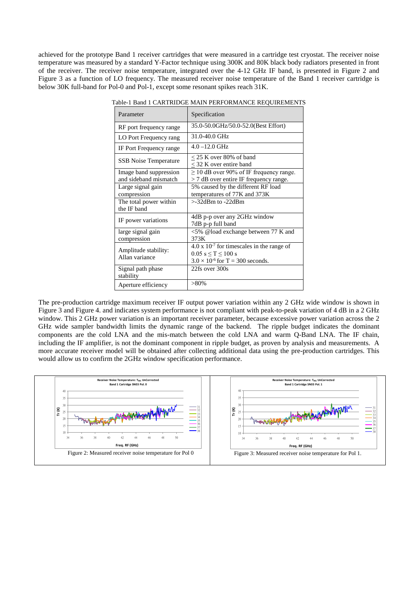achieved for the prototype Band 1 receiver cartridges that were measured in a cartridge test cryostat. The receiver noise temperature was measured by a standard Y-Factor technique using 300K and 80K black body radiators presented in front of the receiver. The receiver noise temperature, integrated over the 4-12 GHz IF band, is presented in [Figure 2](#page-3-0) and [Figure 3](#page-3-1) as a function of LO frequency. The measured receiver noise temperature of the Band 1 receiver cartridge is below 30K full-band for Pol-0 and Pol-1, except some resonant spikes reach 31K.

| Parameter                                       | Specification                                                                                                                    |
|-------------------------------------------------|----------------------------------------------------------------------------------------------------------------------------------|
| RF port frequency range                         | 35.0-50.0GHz/50.0-52.0(Best Effort)                                                                                              |
| LO Port Frequency rang                          | 31.0-40.0 GHz                                                                                                                    |
| IF Port Frequency range                         | $4.0 - 12.0$ GHz                                                                                                                 |
| <b>SSB</b> Noise Temperature                    | $<$ 25 K over 80% of band<br>< 32 K over entire band                                                                             |
| Image band suppression<br>and sideband mismatch | $\geq$ 10 dB over 90% of IF frequency range.<br>> 7 dB over entire IF frequency range.                                           |
| Large signal gain<br>compression                | 5% caused by the different RF load<br>temperatures of 77K and 373K                                                               |
| The total power within<br>the IF band           | $>32$ dBm to $-22$ dBm                                                                                                           |
| IF power variations                             | 4dB p-p over any 2GHz window<br>7dB p-p full band                                                                                |
| large signal gain<br>compression                | <5% @load exchange between 77 K and<br>373K                                                                                      |
| Amplitude stability:<br>Allan variance          | $4.0 \times 10^{-7}$ for timescales in the range of<br>$0.05$ s $\leq T \leq 100$ s<br>$3.0 \times 10^{-6}$ for T = 300 seconds. |
| Signal path phase<br>stability                  | 22fs over 300s                                                                                                                   |
| Aperture efficiency                             | $>80\%$                                                                                                                          |

Table-1 Band 1 CARTRIDGE MAIN PERFORMANCE REQUIREMENTS

The pre-production cartridge maximum receiver IF output power variation within any 2 GHz wide window is shown in [Figure 3](#page-3-1) and [Figure 4.](#page-4-0) and indicates system performance is not compliant with peak-to-peak variation of 4 dB in a 2 GHz window. This 2 GHz power variation is an important receiver parameter, because excessive power variation across the 2 GHz wide sampler bandwidth limits the dynamic range of the backend. The ripple budget indicates the dominant components are the cold LNA and the mis-match between the cold LNA and warm Q-Band LNA. The IF chain, including the IF amplifier, is not the dominant component in ripple budget, as proven by analysis and measurements. A more accurate receiver model will be obtained after collecting additional data using the pre-production cartridges. This would allow us to confirm the 2GHz window specification performance.

<span id="page-3-1"></span><span id="page-3-0"></span>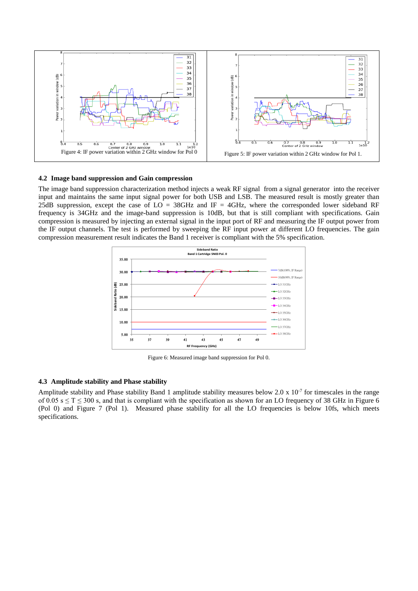

#### <span id="page-4-0"></span>**4.2 Image band suppression and Gain compression**

The image band suppression characterization method injects a weak RF signal from a signal generator into the receiver input and maintains the same input signal power for both USB and LSB. The measured result is mostly greater than 25dB suppression, except the case of  $LO = 38$ GHz and IF = 4GHz, where the corresponded lower sideband RF frequency is 34GHz and the image-band suppression is 10dB, but that is still compliant with specifications. Gain compression is measured by injecting an external signal in the input port of RF and measuring the IF output power from the IF output channels. The test is performed by sweeping the RF input power at different LO frequencies. The gain compression measurement result indicates the Band 1 receiver is compliant with the 5% specification.



Figure 6: Measured image band suppression for Pol 0.

#### **4.3 Amplitude stability and Phase stability**

Amplitude stability and Phase stability Band 1 amplitude stability measures below 2.0 x  $10^{-7}$  for timescales in the range of 0.05 s  $\leq$  T  $\leq$  300 s, and that is compliant with the specification as shown for an LO frequency of 38 GHz in [Figure 6](#page-5-0) (Pol 0) and [Figure 7](#page-5-1) (Pol 1). Measured phase stability for all the LO frequencies is below 10fs, which meets specifications.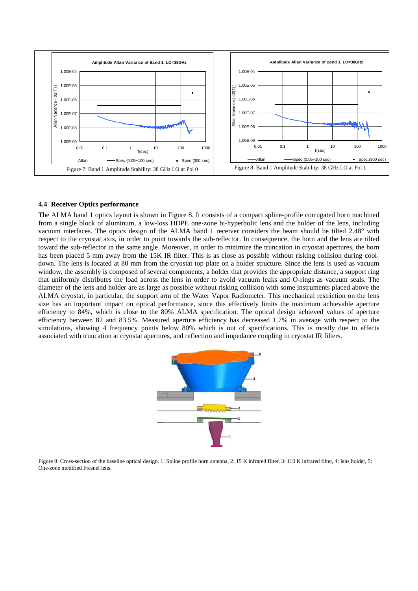

#### <span id="page-5-1"></span><span id="page-5-0"></span>**4.4 Receiver Optics performance**

The ALMA band 1 optics layout is shown in [Figure 8.](#page-5-2) It consists of a compact spline-profile corrugated horn machined from a single block of aluminum, a low-loss HDPE one-zone bi-hyperbolic lens and the holder of the lens, including vacuum interfaces. The optics design of the ALMA band 1 receiver considers the beam should be tilted 2.48° with respect to the cryostat axis, in order to point towards the sub-reflector. In consequence, the horn and the lens are tilted toward the sub-reflector in the same angle. Moreover, in order to minimize the truncation in cryostat apertures, the horn has been placed 5 mm away from the 15K IR filter. This is as close as possible without risking collision during cooldown. The lens is located at 80 mm from the cryostat top plate on a holder structure. Since the lens is used as vacuum window, the assembly is composed of several components, a holder that provides the appropriate distance, a support ring that uniformly distributes the load across the lens in order to avoid vacuum leaks and O-rings as vacuum seals. The diameter of the lens and holder are as large as possible without risking collision with some instruments placed above the ALMA cryostat, in particular, the support arm of the Water Vapor Radiometer. This mechanical restriction on the lens size has an important impact on optical performance, since this effectively limits the maximum achievable aperture efficiency to 84%, which is close to the 80% ALMA specification. The optical design achieved values of aperture efficiency between 82 and 83.5%. Measured aperture efficiency has decreased 1.7% in average with respect to the simulations, showing 4 frequency points below 80% which is out of specifications. This is mostly due to effects associated with truncation at cryostat apertures, and reflection and impedance coupling in cryostat IR filters.



<span id="page-5-2"></span>Figure 9: Cross-section of the baseline optical design. 1: Spline profile horn antenna, 2: 15 K infrared filter, 3: 110 K infrared filter, 4: lens holder, 5: One-zone modified Fresnel lens.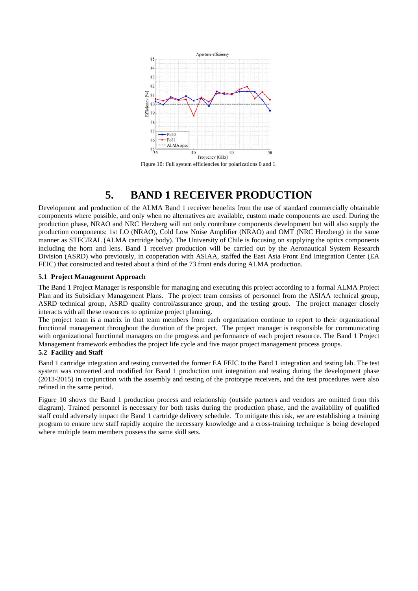

Figure 10: Full system efficiencies for polarizations 0 and 1.

# **5. BAND 1 RECEIVER PRODUCTION**

Development and production of the ALMA Band 1 receiver benefits from the use of standard commercially obtainable components where possible, and only when no alternatives are available, custom made components are used. During the production phase, NRAO and NRC Herzberg will not only contribute components development but will also supply the production components: 1st LO (NRAO), Cold Low Noise Amplifier (NRAO) and OMT (NRC Herzberg) in the same manner as STFC/RAL (ALMA cartridge body). The University of Chile is focusing on supplying the optics components including the horn and lens. Band 1 receiver production will be carried out by the Aeronautical System Research Division (ASRD) who previously, in cooperation with ASIAA, staffed the East Asia Front End Integration Center (EA FEIC) that constructed and tested about a third of the 73 front ends during ALMA production.

#### **5.1 Project Management Approach**

The Band 1 Project Manager is responsible for managing and executing this project according to a formal ALMA Project Plan and its Subsidiary Management Plans. The project team consists of personnel from the ASIAA technical group, ASRD technical group, ASRD quality control/assurance group, and the testing group. The project manager closely interacts with all these resources to optimize project planning.

The project team is a matrix in that team members from each organization continue to report to their organizational functional management throughout the duration of the project. The project manager is responsible for communicating with organizational functional managers on the progress and performance of each project resource. The Band 1 Project Management framework embodies the project life cycle and five major project management process groups.

#### **5.2 Facility and Staff**

Band 1 cartridge integration and testing converted the former EA FEIC to the Band 1 integration and testing lab. The test system was converted and modified for Band 1 production unit integration and testing during the development phase (2013-2015) in conjunction with the assembly and testing of the prototype receivers, and the test procedures were also refined in the same period.

[Figure 10](#page-7-0) shows the Band 1 production process and relationship (outside partners and vendors are omitted from this diagram). Trained personnel is necessary for both tasks during the production phase, and the availability of qualified staff could adversely impact the Band 1 cartridge delivery schedule. To mitigate this risk, we are establishing a training program to ensure new staff rapidly acquire the necessary knowledge and a cross-training technique is being developed where multiple team members possess the same skill sets.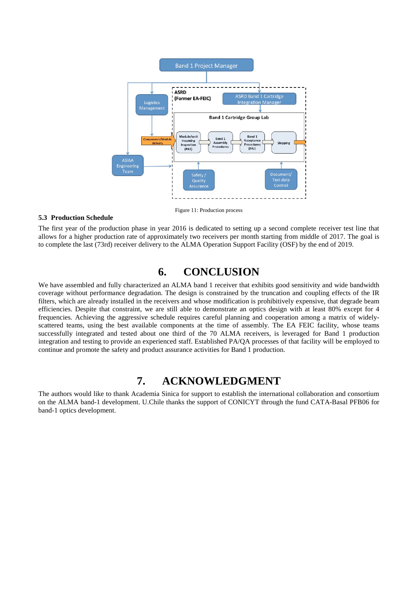

#### <span id="page-7-0"></span>**5.3 Production Schedule**

The first year of the production phase in year 2016 is dedicated to setting up a second complete receiver test line that allows for a higher production rate of approximately two receivers per month starting from middle of 2017. The goal is to complete the last (73rd) receiver delivery to the ALMA Operation Support Facility (OSF) by the end of 2019.

## **6. CONCLUSION**

We have assembled and fully characterized an ALMA band 1 receiver that exhibits good sensitivity and wide bandwidth coverage without performance degradation. The design is constrained by the truncation and coupling effects of the IR filters, which are already installed in the receivers and whose modification is prohibitively expensive, that degrade beam efficiencies. Despite that constraint, we are still able to demonstrate an optics design with at least 80% except for 4 frequencies. Achieving the aggressive schedule requires careful planning and cooperation among a matrix of widelyscattered teams, using the best available components at the time of assembly. The EA FEIC facility, whose teams successfully integrated and tested about one third of the 70 ALMA receivers, is leveraged for Band 1 production integration and testing to provide an experienced staff. Established PA/QA processes of that facility will be employed to continue and promote the safety and product assurance activities for Band 1 production.

## **7. ACKNOWLEDGMENT**

The authors would like to thank Academia Sinica for support to establish the international collaboration and consortium on the ALMA band-1 development. U.Chile thanks the support of CONICYT through the fund CATA-Basal PFB06 for band-1 optics development.